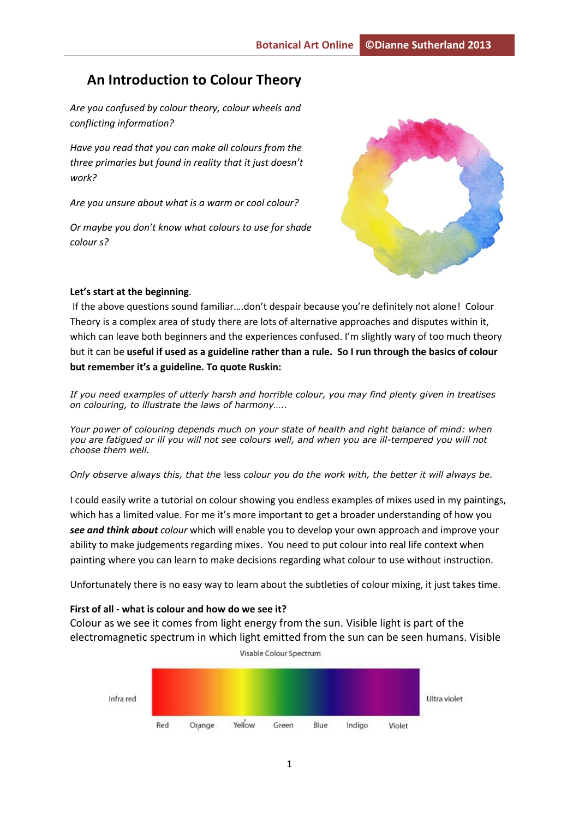# **An Introduction to Colour Theory**

*Are you confused by colour theory, colour wheels and conflicting information?* 

*Have you read that you can make all colours from the three primaries but found in reality that it just doesn't work?* 

*Are you unsure about what is a warm or cool colour?* 

*Or maybe you don't know what colours to use for shade colour s?* 



#### **Let's start at the beginning**.

If the above questions sound familiar….don't despair because you're definitely not alone! Colour Theory is a complex area of study there are lots of alternative approaches and disputes within it, which can leave both beginners and the experiences confused. I'm slightly wary of too much theory but it can be **useful if used as a guideline rather than a rule. So I run through the basics of colour but remember it's a guideline. To quote Ruskin:** 

*If you need examples of utterly harsh and horrible colour, you may find plenty given in treatises on colouring, to illustrate the laws of harmony…..*

*Your power of colouring depends much on your state of health and right balance of mind: when you are fatigued or ill you will not see colours well, and when you are ill-tempered you will not choose them well.* 

*Only observe always this, that the* less *colour you do the work with, the better it will always be.*

I could easily write a tutorial on colour showing you endless examples of mixes used in my paintings, which has a limited value. For me it's more important to get a broader understanding of how you *see and think about colour* which will enable you to develop your own approach and improve your ability to make judgements regarding mixes. You need to put colour into real life context when painting where you can learn to make decisions regarding what colour to use without instruction.

Unfortunately there is no easy way to learn about the subtleties of colour mixing, it just takes time.

#### **First of all - what is colour and how do we see it?**

Colour as we see it comes from light energy from the sun. Visible light is part of the electromagnetic spectrum in which light emitted from the sun can be seen humans. Visible

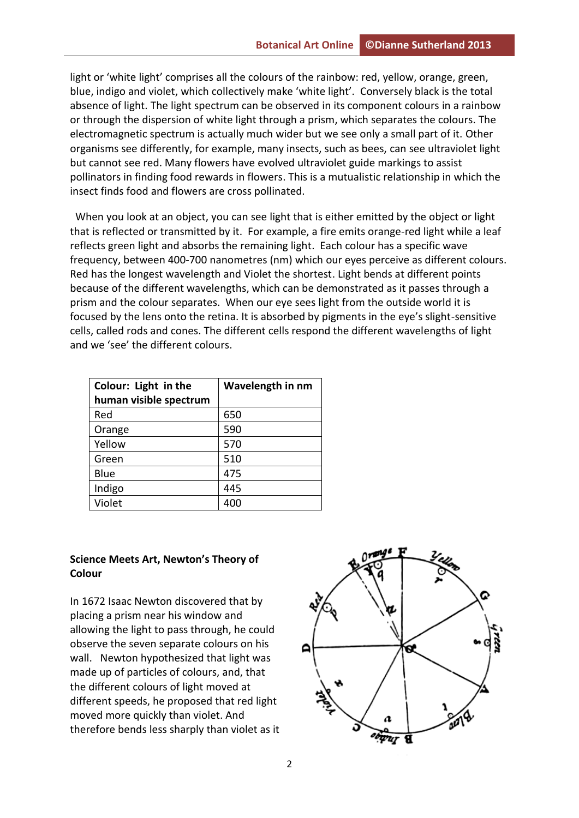light or 'white light' comprises all the colours of the rainbow: red, yellow, orange, green, blue, indigo and violet, which collectively make 'white light'. Conversely black is the total absence of light. The light spectrum can be observed in its component colours in a rainbow or through the dispersion of white light through a prism, which separates the colours. The electromagnetic spectrum is actually much wider but we see only a small part of it. Other organisms see differently, for example, many insects, such as bees, can see ultraviolet light but cannot see red. Many flowers have evolved ultraviolet guide markings to assist pollinators in finding food rewards in flowers. This is a mutualistic relationship in which the insect finds food and flowers are cross pollinated.

 When you look at an object, you can see light that is either emitted by the object or light that is reflected or transmitted by it. For example, a fire emits orange-red light while a leaf reflects green light and absorbs the remaining light. Each colour has a specific wave frequency, between 400-700 nanometres (nm) which our eyes perceive as different colours. Red has the longest wavelength and Violet the shortest. Light bends at different points because of the different wavelengths, which can be demonstrated as it passes through a prism and the colour separates. When our eye sees light from the outside world it is focused by the lens onto the retina. It is absorbed by pigments in the eye's slight-sensitive cells, called rods and cones. The different cells respond the different wavelengths of light and we 'see' the different colours.

| Colour: Light in the<br>human visible spectrum | Wavelength in nm |  |
|------------------------------------------------|------------------|--|
| Red                                            | 650              |  |
| Orange                                         | 590              |  |
| Yellow                                         | 570              |  |
| Green                                          | 510              |  |
| Blue                                           | 475              |  |
| Indigo                                         | 445              |  |
| Violet                                         |                  |  |

### **Science Meets Art, Newton's Theory of Colour**

In 1672 Isaac Newton discovered that by placing a prism near his window and allowing the light to pass through, he could observe the seven separate colours on his wall. Newton hypothesized that light was made up of particles of colours, and, that the different colours of light moved at different speeds, he proposed that red light moved more quickly than violet. And therefore bends less sharply than violet as it

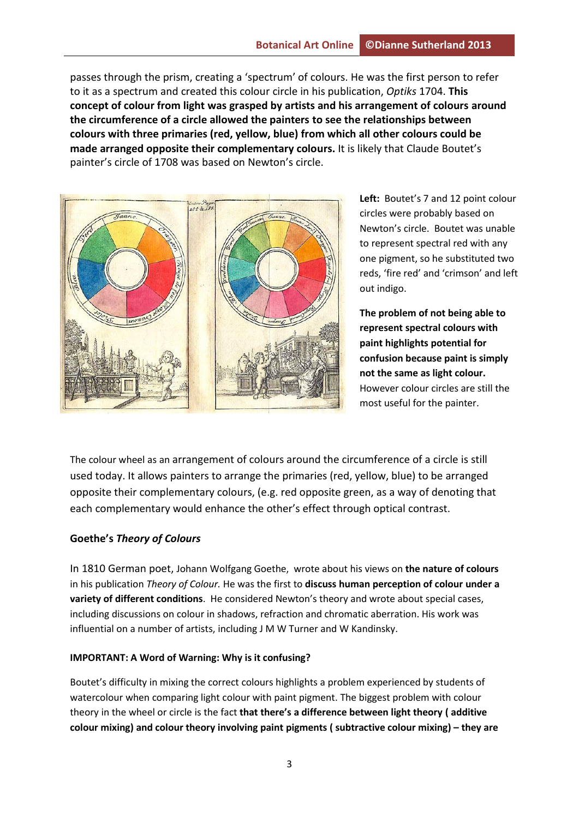passes through the prism, creating a 'spectrum' of colours. He was the first person to refer to it as a spectrum and created this colour circle in his publication, *Optiks* 1704. **This concept of colour from light was grasped by artists and his arrangement of colours around the circumference of a circle allowed the painters to see the relationships between colours with three primaries (red, yellow, blue) from which all other colours could be made arranged opposite their complementary colours.** It is likely that Claude Boutet's painter's circle of 1708 was based on Newton's circle.



**Left:** Boutet's 7 and 12 point colour circles were probably based on Newton's circle. Boutet was unable to represent spectral red with any one pigment, so he substituted two reds, 'fire red' and 'crimson' and left out indigo.

**The problem of not being able to represent spectral colours with paint highlights potential for confusion because paint is simply not the same as light colour.** However colour circles are still the most useful for the painter.

The colour wheel as an arrangement of colours around the circumference of a circle is still used today. It allows painters to arrange the primaries (red, yellow, blue) to be arranged opposite their complementary colours, (e.g. red opposite green, as a way of denoting that each complementary would enhance the other's effect through optical contrast.

## **Goethe's** *Theory of Colours*

In 1810 German poet, Johann Wolfgang Goethe, wrote about his views on **the nature of colours** in his publication *Theory of Colour.* He was the first to **discuss human perception of colour under a variety of different conditions**. He considered Newton's theory and wrote about special cases, including discussions on colour in shadows, refraction and chromatic aberration. His work was influential on a number of artists, including J M W Turner and W Kandinsky.

### **IMPORTANT: A Word of Warning: Why is it confusing?**

Boutet's difficulty in mixing the correct colours highlights a problem experienced by students of watercolour when comparing light colour with paint pigment. The biggest problem with colour theory in the wheel or circle is the fact **that there's a difference between light theory ( additive colour mixing) and colour theory involving paint pigments ( subtractive colour mixing) – they are**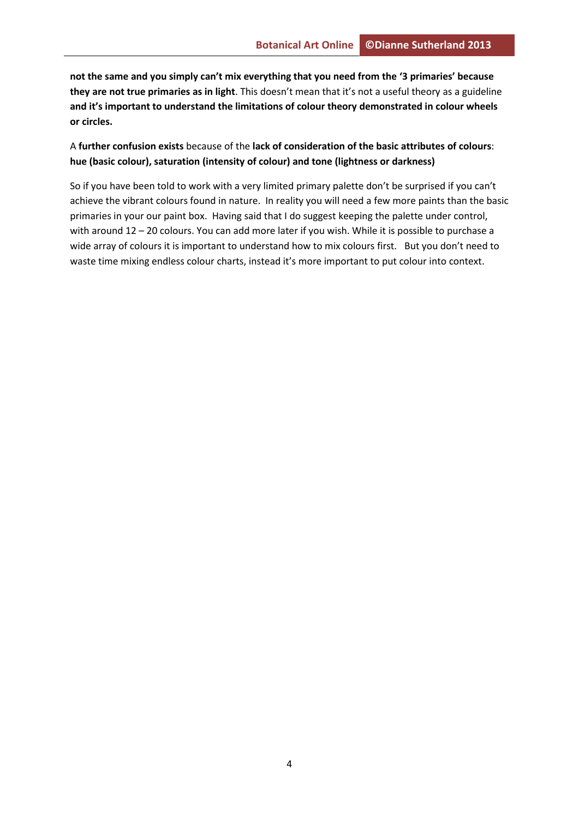**not the same and you simply can't mix everything that you need from the '3 primaries' because they are not true primaries as in light**. This doesn't mean that it's not a useful theory as a guideline **and it's important to understand the limitations of colour theory demonstrated in colour wheels or circles.**

A **further confusion exists** because of the **lack of consideration of the basic attributes of colours**: **hue (basic colour), saturation (intensity of colour) and tone (lightness or darkness)**

So if you have been told to work with a very limited primary palette don't be surprised if you can't achieve the vibrant colours found in nature. In reality you will need a few more paints than the basic primaries in your our paint box. Having said that I do suggest keeping the palette under control, with around 12 – 20 colours. You can add more later if you wish. While it is possible to purchase a wide array of colours it is important to understand how to mix colours first. But you don't need to waste time mixing endless colour charts, instead it's more important to put colour into context.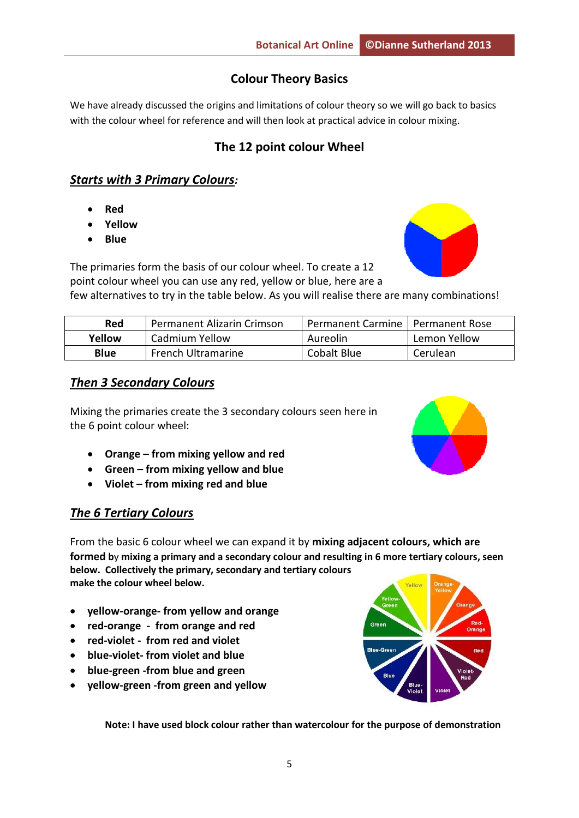# **Colour Theory Basics**

We have already discussed the origins and limitations of colour theory so we will go back to basics with the colour wheel for reference and will then look at practical advice in colour mixing.

# **The 12 point colour Wheel**

# *Starts with 3 Primary Colours:*

- **Red**
- **Yellow**
- **Blue**



The primaries form the basis of our colour wheel. To create a 12 point colour wheel you can use any red, yellow or blue, here are a few alternatives to try in the table below. As you will realise there are many combinations!

| Red         | Permanent Alizarin Crimson | Permanent Carmine   Permanent Rose |              |
|-------------|----------------------------|------------------------------------|--------------|
| Yellow      | Cadmium Yellow             | Aureolin                           | Lemon Yellow |
| <b>Blue</b> | <b>French Ultramarine</b>  | Cobalt Blue                        | Cerulean     |

## *Then 3 Secondary Colours*

Mixing the primaries create the 3 secondary colours seen here in the 6 point colour wheel:

- **Orange – from mixing yellow and red**
- **Green – from mixing yellow and blue**
- **Violet – from mixing red and blue**

# *The 6 Tertiary Colours*

From the basic 6 colour wheel we can expand it by **mixing adjacent colours, which are formed b**y **mixing a primary and a secondary colour and resulting in 6 more tertiary colours, seen below. Collectively the primary, secondary and tertiary colours make the colour wheel below.** 

- **yellow-orange- from yellow and orange**
- **red-orange from orange and red**
- **red-violet from red and violet**
- **blue-violet- from violet and blue**
- **blue-green -from blue and green**
- **yellow-green -from green and yellow**

**Note: I have used block colour rather than watercolour for the purpose of demonstration** 

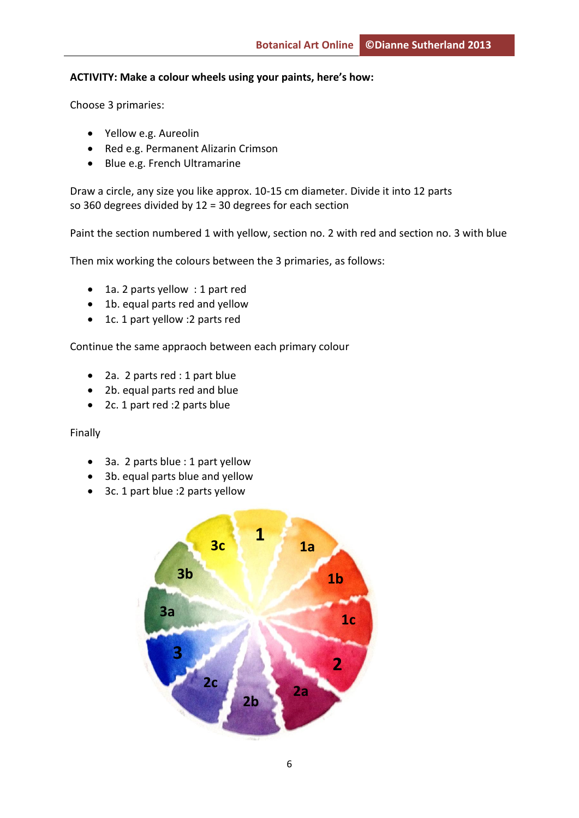### **ACTIVITY: Make a colour wheels using your paints, here's how:**

Choose 3 primaries:

- Yellow e.g. Aureolin
- Red e.g. Permanent Alizarin Crimson
- Blue e.g. French Ultramarine

Draw a circle, any size you like approx. 10-15 cm diameter. Divide it into 12 parts so 360 degrees divided by 12 = 30 degrees for each section

Paint the section numbered 1 with yellow, section no. 2 with red and section no. 3 with blue

Then mix working the colours between the 3 primaries, as follows:

- 1a. 2 parts yellow : 1 part red
- 1b. equal parts red and yellow
- 1c. 1 part yellow :2 parts red

Continue the same appraoch between each primary colour

- 2a. 2 parts red : 1 part blue
- 2b. equal parts red and blue
- 2c. 1 part red : 2 parts blue

#### Finally

- 3a. 2 parts blue : 1 part yellow
- 3b. equal parts blue and yellow
- 3c. 1 part blue : 2 parts yellow

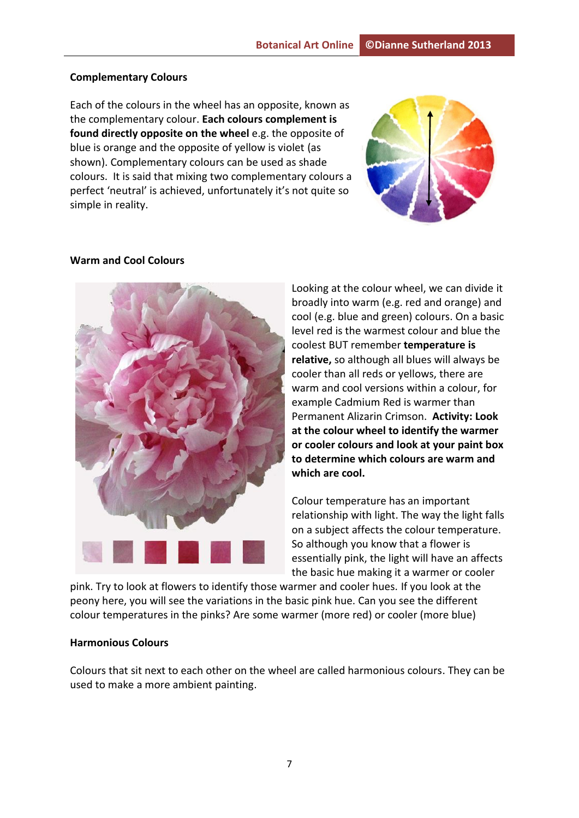#### **Complementary Colours**

Each of the colours in the wheel has an opposite, known as the complementary colour. **Each colours complement is found directly opposite on the wheel** e.g. the opposite of blue is orange and the opposite of yellow is violet (as shown). Complementary colours can be used as shade colours. It is said that mixing two complementary colours a perfect 'neutral' is achieved, unfortunately it's not quite so simple in reality.



#### **Warm and Cool Colours**



Looking at the colour wheel, we can divide it broadly into warm (e.g. red and orange) and cool (e.g. blue and green) colours. On a basic level red is the warmest colour and blue the coolest BUT remember **temperature is relative,** so although all blues will always be cooler than all reds or yellows, there are warm and cool versions within a colour, for example Cadmium Red is warmer than Permanent Alizarin Crimson. **Activity: Look at the colour wheel to identify the warmer or cooler colours and look at your paint box to determine which colours are warm and which are cool.** 

Colour temperature has an important relationship with light. The way the light falls on a subject affects the colour temperature. So although you know that a flower is essentially pink, the light will have an affects the basic hue making it a warmer or cooler

pink. Try to look at flowers to identify those warmer and cooler hues. If you look at the peony here, you will see the variations in the basic pink hue. Can you see the different colour temperatures in the pinks? Are some warmer (more red) or cooler (more blue)

#### **Harmonious Colours**

Colours that sit next to each other on the wheel are called harmonious colours. They can be used to make a more ambient painting.